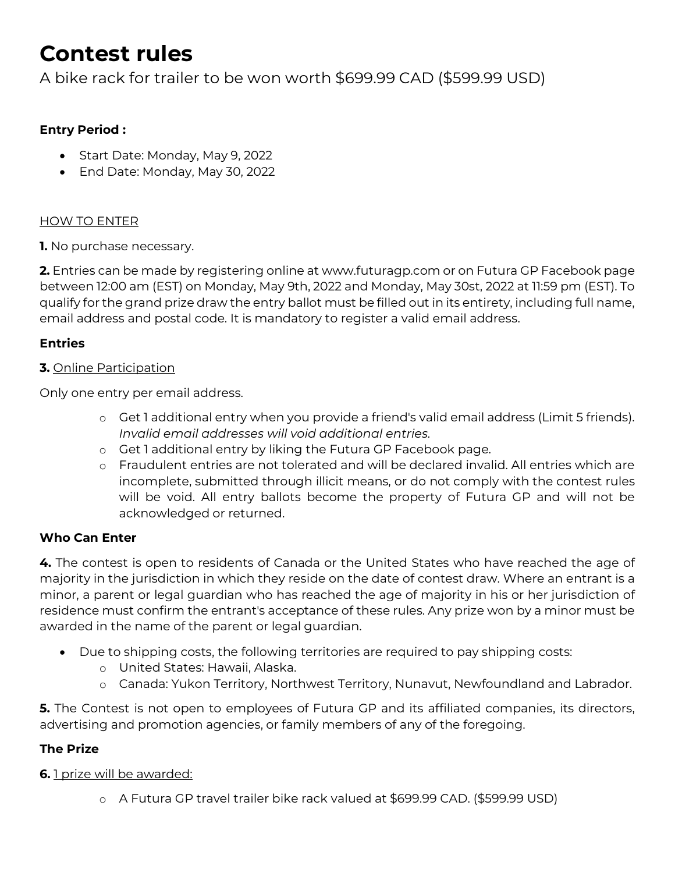# **Contest rules**

A bike rack for trailer to be won worth \$699.99 CAD (\$599.99 USD)

# **Entry Period :**

- Start Date: Monday, May 9, 2022
- End Date: Monday, May 30, 2022

### HOW TO ENTER

**1.** No purchase necessary.

**2.** Entries can be made by registering online at www.futuragp.com or on Futura GP Facebook page between 12:00 am (EST) on Monday, May 9th, 2022 and Monday, May 30st, 2022 at 11:59 pm (EST). To qualify for the grand prize draw the entry ballot must be filled out in its entirety, including full name, email address and postal code. It is mandatory to register a valid email address.

# **Entries**

#### **3.** Online Participation

Only one entry per email address.

- o Get 1 additional entry when you provide a friend's valid email address (Limit 5 friends). *Invalid email addresses will void additional entries.*
- o Get 1 additional entry by liking the Futura GP Facebook page.
- o Fraudulent entries are not tolerated and will be declared invalid. All entries which are incomplete, submitted through illicit means, or do not comply with the contest rules will be void. All entry ballots become the property of Futura GP and will not be acknowledged or returned.

### **Who Can Enter**

**4.** The contest is open to residents of Canada or the United States who have reached the age of majority in the jurisdiction in which they reside on the date of contest draw. Where an entrant is a minor, a parent or legal guardian who has reached the age of majority in his or her jurisdiction of residence must confirm the entrant's acceptance of these rules. Any prize won by a minor must be awarded in the name of the parent or legal guardian.

- Due to shipping costs, the following territories are required to pay shipping costs:
	- o United States: Hawaii, Alaska.
	- o Canada: Yukon Territory, Northwest Territory, Nunavut, Newfoundland and Labrador.

**5.** The Contest is not open to employees of Futura GP and its affiliated companies, its directors, advertising and promotion agencies, or family members of any of the foregoing.

### **The Prize**

### **6.** 1 prize will be awarded:

o A Futura GP travel trailer bike rack valued at \$699.99 CAD. (\$599.99 USD)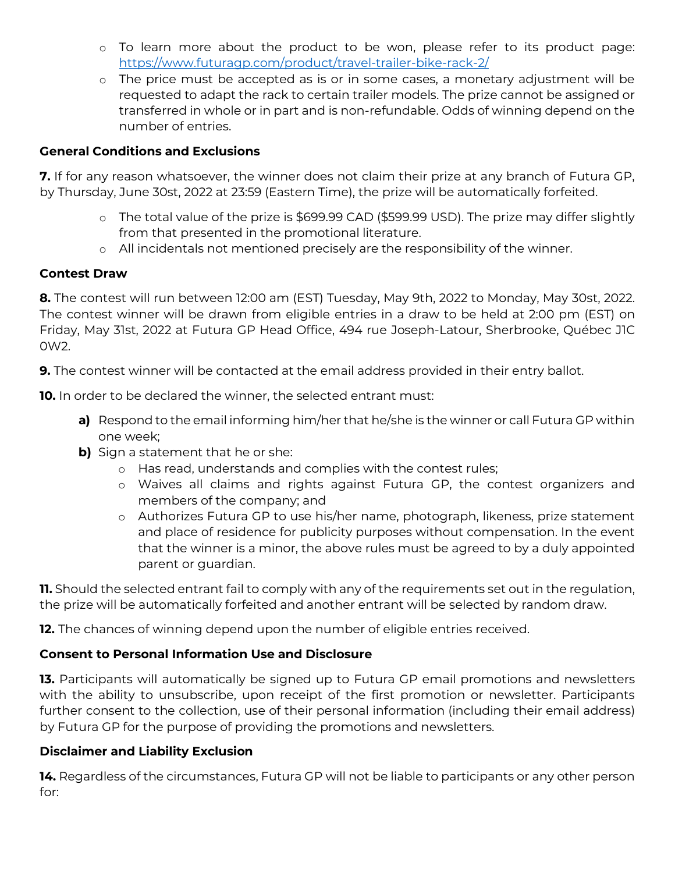- o To learn more about the product to be won, please refer to its product page: <https://www.futuragp.com/product/travel-trailer-bike-rack-2/>
- o The price must be accepted as is or in some cases, a monetary adjustment will be requested to adapt the rack to certain trailer models. The prize cannot be assigned or transferred in whole or in part and is non-refundable. Odds of winning depend on the number of entries.

#### **General Conditions and Exclusions**

**7.** If for any reason whatsoever, the winner does not claim their prize at any branch of Futura GP, by Thursday, June 30st, 2022 at 23:59 (Eastern Time), the prize will be automatically forfeited.

- o The total value of the prize is \$699.99 CAD (\$599.99 USD). The prize may differ slightly from that presented in the promotional literature.
- o All incidentals not mentioned precisely are the responsibility of the winner.

#### **Contest Draw**

**8.** The contest will run between 12:00 am (EST) Tuesday, May 9th, 2022 to Monday, May 30st, 2022. The contest winner will be drawn from eligible entries in a draw to be held at 2:00 pm (EST) on Friday, May 31st, 2022 at Futura GP Head Office, 494 rue Joseph-Latour, Sherbrooke, Québec J1C 0W2.

**9.** The contest winner will be contacted at the email address provided in their entry ballot.

**10.** In order to be declared the winner, the selected entrant must:

- **a)** Respond to the email informing him/her that he/she is the winner or call Futura GP within one week;
- **b)** Sign a statement that he or she:
	- o Has read, understands and complies with the contest rules;
	- o Waives all claims and rights against Futura GP, the contest organizers and members of the company; and
	- o Authorizes Futura GP to use his/her name, photograph, likeness, prize statement and place of residence for publicity purposes without compensation. In the event that the winner is a minor, the above rules must be agreed to by a duly appointed parent or guardian.

**11.** Should the selected entrant fail to comply with any of the requirements set out in the regulation, the prize will be automatically forfeited and another entrant will be selected by random draw.

**12.** The chances of winning depend upon the number of eligible entries received.

# **Consent to Personal Information Use and Disclosure**

**13.** Participants will automatically be signed up to Futura GP email promotions and newsletters with the ability to unsubscribe, upon receipt of the first promotion or newsletter. Participants further consent to the collection, use of their personal information (including their email address) by Futura GP for the purpose of providing the promotions and newsletters.

### **Disclaimer and Liability Exclusion**

**14.** Regardless of the circumstances, Futura GP will not be liable to participants or any other person for: